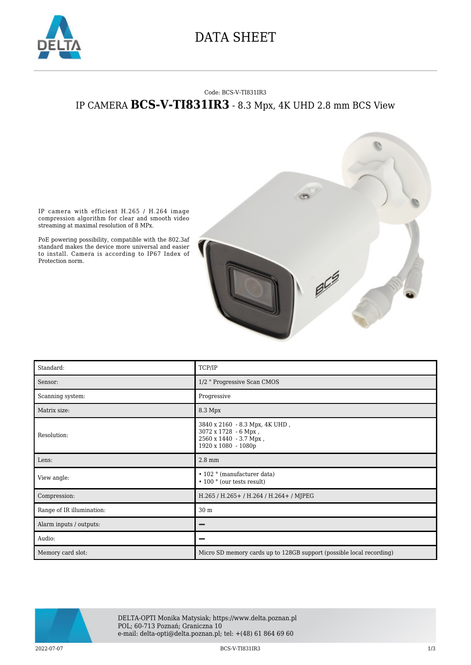

## DATA SHEET

## Code: BCS-V-TI831IR3 IP CAMERA **BCS-V-TI831IR3** - 8.3 Mpx, 4K UHD 2.8 mm BCS View



IP camera with efficient H.265 / H.264 image compression algorithm for clear and smooth video streaming at maximal resolution of 8 MPx.

PoE powering possibility, compatible with the 802.3af standard makes the device more universal and easier to install. Camera is according to IP67 Index of Protection norm.

| Standard:                 | TCP/IP                                                                                                  |
|---------------------------|---------------------------------------------------------------------------------------------------------|
| Sensor:                   | 1/2 " Progressive Scan CMOS                                                                             |
| Scanning system:          | Progressive                                                                                             |
| Matrix size:              | 8.3 Mpx                                                                                                 |
| Resolution:               | 3840 x 2160 - 8.3 Mpx, 4K UHD,<br>3072 x 1728 - 6 Mpx,<br>2560 x 1440 - 3.7 Mpx,<br>1920 x 1080 - 1080p |
| Lens:                     | $2.8 \text{ mm}$                                                                                        |
| View angle:               | • 102 ° (manufacturer data)<br>$\cdot$ 100 $\degree$ (our tests result)                                 |
| Compression:              | H.265 / H.265 + / H.264 / H.264 + / MJPEG                                                               |
| Range of IR illumination: | 30 m                                                                                                    |
| Alarm inputs / outputs:   |                                                                                                         |
| Audio:                    |                                                                                                         |
| Memory card slot:         | Micro SD memory cards up to 128GB support (possible local recording)                                    |



DELTA-OPTI Monika Matysiak; https://www.delta.poznan.pl POL; 60-713 Poznań; Graniczna 10 e-mail: delta-opti@delta.poznan.pl; tel: +(48) 61 864 69 60

2022-07-07 BCS-V-TI831IR3 1/3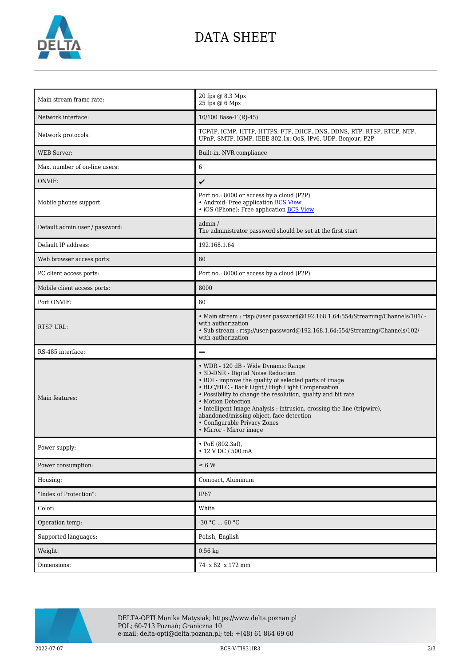

## DATA SHEET

| Main stream frame rate:        | 20 fps @ 8.3 Mpx<br>25 fps @ 6 Mpx                                                                                                                                                                                                                                                                                                                                                                                                                              |
|--------------------------------|-----------------------------------------------------------------------------------------------------------------------------------------------------------------------------------------------------------------------------------------------------------------------------------------------------------------------------------------------------------------------------------------------------------------------------------------------------------------|
| Network interface:             | 10/100 Base-T (RJ-45)                                                                                                                                                                                                                                                                                                                                                                                                                                           |
| Network protocols:             | TCP/IP, ICMP, HTTP, HTTPS, FTP, DHCP, DNS, DDNS, RTP, RTSP, RTCP, NTP,<br>UPnP, SMTP, IGMP, IEEE 802.1x, QoS, IPv6, UDP, Bonjour, P2P                                                                                                                                                                                                                                                                                                                           |
| <b>WEB</b> Server:             | Built-in, NVR compliance                                                                                                                                                                                                                                                                                                                                                                                                                                        |
| Max. number of on-line users:  | 6                                                                                                                                                                                                                                                                                                                                                                                                                                                               |
| ONVIF:                         | ✓                                                                                                                                                                                                                                                                                                                                                                                                                                                               |
| Mobile phones support:         | Port no.: 8000 or access by a cloud (P2P)<br>• Android: Free application BCS View<br>• iOS (iPhone): Free application BCS View                                                                                                                                                                                                                                                                                                                                  |
| Default admin user / password: | $admin / -$<br>The administrator password should be set at the first start                                                                                                                                                                                                                                                                                                                                                                                      |
| Default IP address:            | 192.168.1.64                                                                                                                                                                                                                                                                                                                                                                                                                                                    |
| Web browser access ports:      | 80                                                                                                                                                                                                                                                                                                                                                                                                                                                              |
| PC client access ports:        | Port no.: 8000 or access by a cloud (P2P)                                                                                                                                                                                                                                                                                                                                                                                                                       |
| Mobile client access ports:    | 8000                                                                                                                                                                                                                                                                                                                                                                                                                                                            |
| Port ONVIF:                    | 80                                                                                                                                                                                                                                                                                                                                                                                                                                                              |
| <b>RTSP URL:</b>               | • Main stream: rtsp://user.password@192.168.1.64:554/Streaming/Channels/101/ -<br>with authorization<br>· Sub stream: rtsp://user:password@192.168.1.64:554/Streaming/Channels/102/ -<br>with authorization                                                                                                                                                                                                                                                     |
| RS-485 interface:              |                                                                                                                                                                                                                                                                                                                                                                                                                                                                 |
| Main features:                 | • WDR - 120 dB - Wide Dynamic Range<br>• 3D-DNR - Digital Noise Reduction<br>• ROI - improve the quality of selected parts of image<br>• BLC/HLC - Back Light / High Light Compensation<br>• Possibility to change the resolution, quality and bit rate<br>• Motion Detection<br>• Intelligent Image Analysis : intrusion, crossing the line (tripwire),<br>abandoned/missing object, face detection<br>• Configurable Privacy Zones<br>• Mirror - Mirror image |
| Power supply:                  | • PoE (802.3af),<br>• 12 V DC / 500 mA                                                                                                                                                                                                                                                                                                                                                                                                                          |
| Power consumption:             | $\leq 6$ W                                                                                                                                                                                                                                                                                                                                                                                                                                                      |
| Housing:                       | Compact, Aluminum                                                                                                                                                                                                                                                                                                                                                                                                                                               |
| "Index of Protection":         | IP67                                                                                                                                                                                                                                                                                                                                                                                                                                                            |
| Color:                         | White                                                                                                                                                                                                                                                                                                                                                                                                                                                           |
| Operation temp:                | $-30 °C  60 °C$                                                                                                                                                                                                                                                                                                                                                                                                                                                 |
| Supported languages:           | Polish, English                                                                                                                                                                                                                                                                                                                                                                                                                                                 |
| Weight:                        | $0.56$ kg                                                                                                                                                                                                                                                                                                                                                                                                                                                       |
| Dimensions:                    | 74 x 82 x 172 mm                                                                                                                                                                                                                                                                                                                                                                                                                                                |



2022-07-07 BCS-V-TI831IR3 2/3